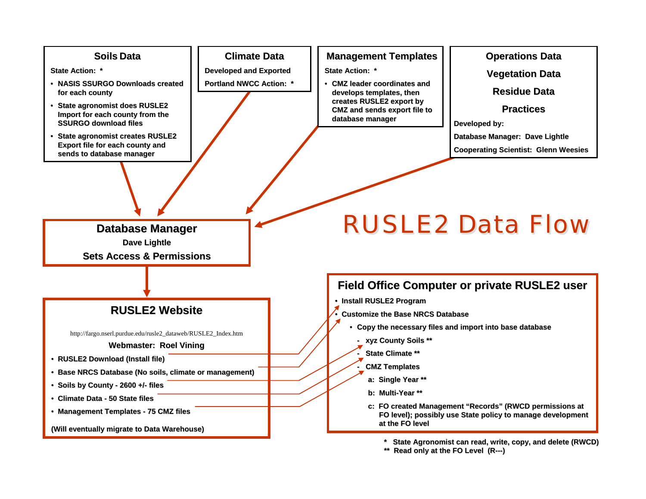

- Climate Data 50 State files
- Management Templates 75 CMZ files

**(Will eventually migrate to Data Warehouse) (Will eventually migrate Data Warehouse)**

**\* State Agronomist can read, \* State Agronomist can read, write, copy, and delete (RWCD) write, copy, and delete (RWCD)**

c: FO created Management "Records" (RWCD permissions at **FO level); possibly use State policy to manage development FO level); possibly use policy to manage development** 

**Read only at the FO Level (R---)** 

**at the FO level at the FO level**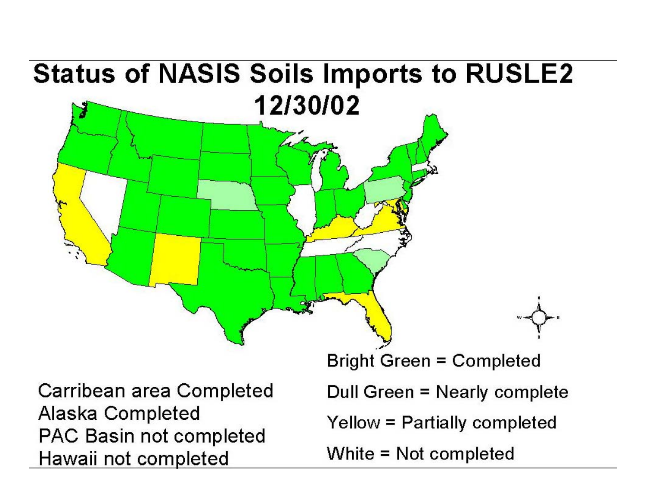## **Status of NASIS Soils Imports to RUSLE2** 12/30/02 **Bright Green = Completed** Carribean area Completed Dull Green = Nearly complete Alaska Completed

Yellow = Partially completed PAC Basin not completed Hawaii not completed

White = Not completed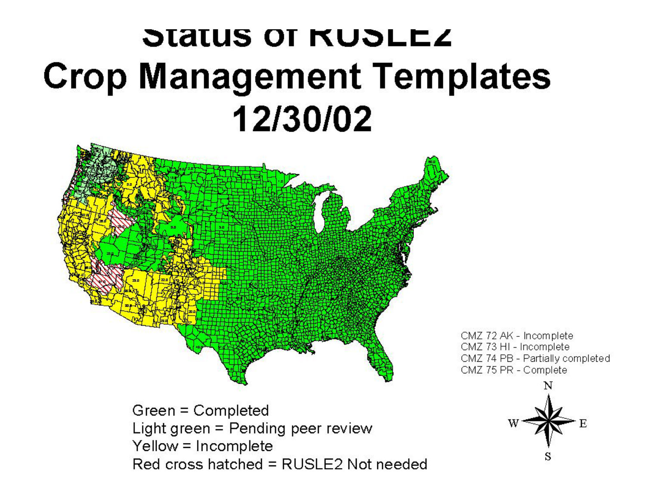## Status of RUSLEZ **Crop Management Templates** 12/30/02



CMZ 72 AK - Incomplete CMZ 73 HI - Incomplete CMZ 74 PB - Partially completed CMZ 75 PR - Complete

Green = Completed Light green = Pending peer review Yellow = Incomplete Red cross hatched = RUSLE2 Not needed